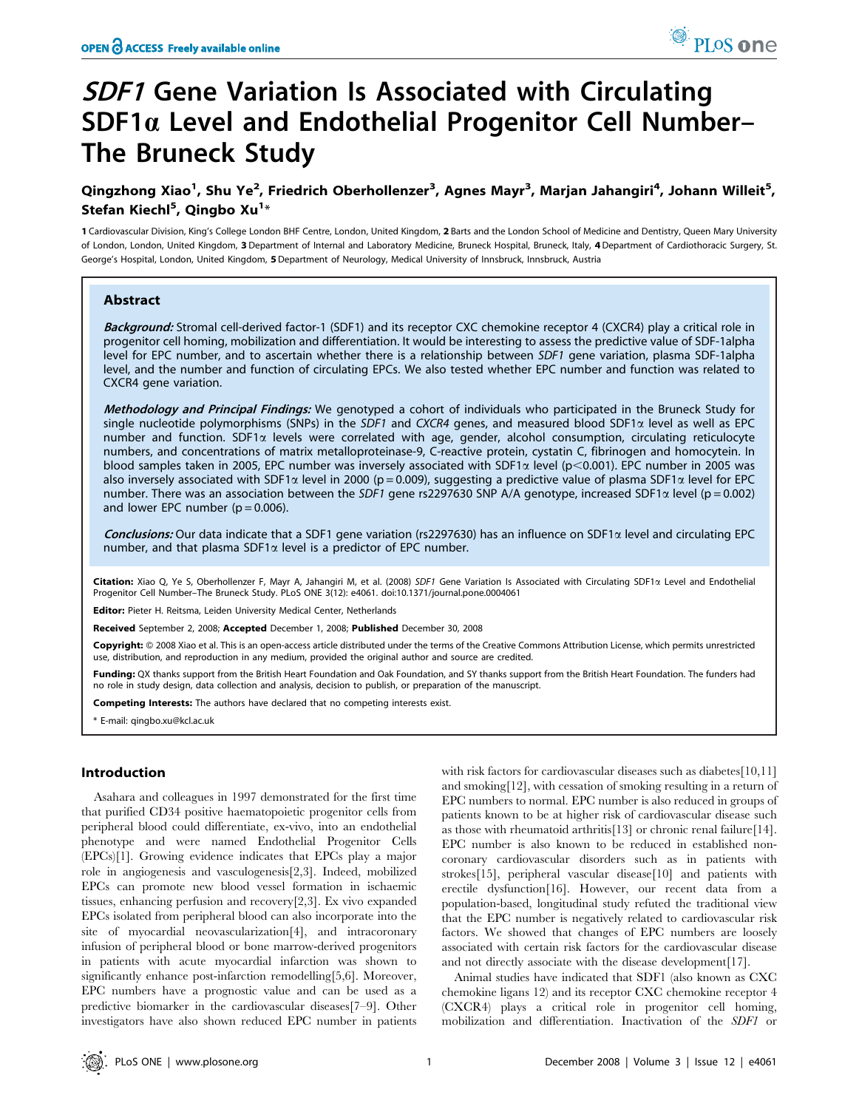# **SDF1** Gene Variation Is Associated with Circulating SDF1 $\alpha$  Level and Endothelial Progenitor Cell Number– The Bruneck Study

# Qingzhong Xiao<sup>1</sup>, Shu Ye<sup>2</sup>, Friedrich Oberhollenzer<sup>3</sup>, Agnes Mayr<sup>3</sup>, Marjan Jahangiri<sup>4</sup>, Johann Willeit<sup>5</sup>, Stefan Kiechl<sup>5</sup>, Qingbo Xu<sup>1</sup>\*

1 Cardiovascular Division, King's College London BHF Centre, London, United Kingdom, 2 Barts and the London School of Medicine and Dentistry, Queen Mary University of London, London, United Kingdom, 3 Department of Internal and Laboratory Medicine, Bruneck Hospital, Bruneck, Italy, 4Department of Cardiothoracic Surgery, St. George's Hospital, London, United Kingdom, 5Department of Neurology, Medical University of Innsbruck, Innsbruck, Austria

# Abstract

Background: Stromal cell-derived factor-1 (SDF1) and its receptor CXC chemokine receptor 4 (CXCR4) play a critical role in progenitor cell homing, mobilization and differentiation. It would be interesting to assess the predictive value of SDF-1alpha level for EPC number, and to ascertain whether there is a relationship between SDF1 gene variation, plasma SDF-1alpha level, and the number and function of circulating EPCs. We also tested whether EPC number and function was related to CXCR4 gene variation.

Methodology and Principal Findings: We genotyped a cohort of individuals who participated in the Bruneck Study for single nucleotide polymorphisms (SNPs) in the SDF1 and CXCR4 genes, and measured blood SDF1 $\alpha$  level as well as EPC number and function. SDF1 $\alpha$  levels were correlated with age, gender, alcohol consumption, circulating reticulocyte numbers, and concentrations of matrix metalloproteinase-9, C-reactive protein, cystatin C, fibrinogen and homocytein. In blood samples taken in 2005, EPC number was inversely associated with SDF1 $\alpha$  level (p<0.001). EPC number in 2005 was also inversely associated with SDF1 $\alpha$  level in 2000 (p = 0.009), suggesting a predictive value of plasma SDF1 $\alpha$  level for EPC number. There was an association between the SDF1 gene rs2297630 SNP A/A genotype, increased SDF1 $\alpha$  level (p = 0.002) and lower EPC number ( $p = 0.006$ ).

Conclusions: Our data indicate that a SDF1 gene variation (rs2297630) has an influence on SDF1 $\alpha$  level and circulating EPC number, and that plasma SDF1 $\alpha$  level is a predictor of EPC number.

Citation: Xiao Q, Ye S, Oberhollenzer F, Mayr A, Jahangiri M, et al. (2008) SDF1 Gene Variation Is Associated with Circulating SDF1 $\alpha$  Level and Endothelial Progenitor Cell Number–The Bruneck Study. PLoS ONE 3(12): e4061. doi:10.1371/journal.pone.0004061

Editor: Pieter H. Reitsma, Leiden University Medical Center, Netherlands

Received September 2, 2008; Accepted December 1, 2008; Published December 30, 2008

Copyright: @ 2008 Xiao et al. This is an open-access article distributed under the terms of the Creative Commons Attribution License, which permits unrestricted use, distribution, and reproduction in any medium, provided the original author and source are credited.

Funding: QX thanks support from the British Heart Foundation and Oak Foundation, and SY thanks support from the British Heart Foundation. The funders had no role in study design, data collection and analysis, decision to publish, or preparation of the manuscript.

Competing Interests: The authors have declared that no competing interests exist.

\* E-mail: qingbo.xu@kcl.ac.uk

# Introduction

Asahara and colleagues in 1997 demonstrated for the first time that purified CD34 positive haematopoietic progenitor cells from peripheral blood could differentiate, ex-vivo, into an endothelial phenotype and were named Endothelial Progenitor Cells (EPCs)[1]. Growing evidence indicates that EPCs play a major role in angiogenesis and vasculogenesis[2,3]. Indeed, mobilized EPCs can promote new blood vessel formation in ischaemic tissues, enhancing perfusion and recovery[2,3]. Ex vivo expanded EPCs isolated from peripheral blood can also incorporate into the site of myocardial neovascularization[4], and intracoronary infusion of peripheral blood or bone marrow-derived progenitors in patients with acute myocardial infarction was shown to significantly enhance post-infarction remodelling[5,6]. Moreover, EPC numbers have a prognostic value and can be used as a predictive biomarker in the cardiovascular diseases[7–9]. Other investigators have also shown reduced EPC number in patients with risk factors for cardiovascular diseases such as diabetes[10,11] and smoking[12], with cessation of smoking resulting in a return of EPC numbers to normal. EPC number is also reduced in groups of patients known to be at higher risk of cardiovascular disease such as those with rheumatoid arthritis[13] or chronic renal failure[14]. EPC number is also known to be reduced in established noncoronary cardiovascular disorders such as in patients with strokes[15], peripheral vascular disease[10] and patients with erectile dysfunction[16]. However, our recent data from a population-based, longitudinal study refuted the traditional view that the EPC number is negatively related to cardiovascular risk factors. We showed that changes of EPC numbers are loosely associated with certain risk factors for the cardiovascular disease and not directly associate with the disease development[17].

Animal studies have indicated that SDF1 (also known as CXC chemokine ligans 12) and its receptor CXC chemokine receptor 4 (CXCR4) plays a critical role in progenitor cell homing, mobilization and differentiation. Inactivation of the SDF1 or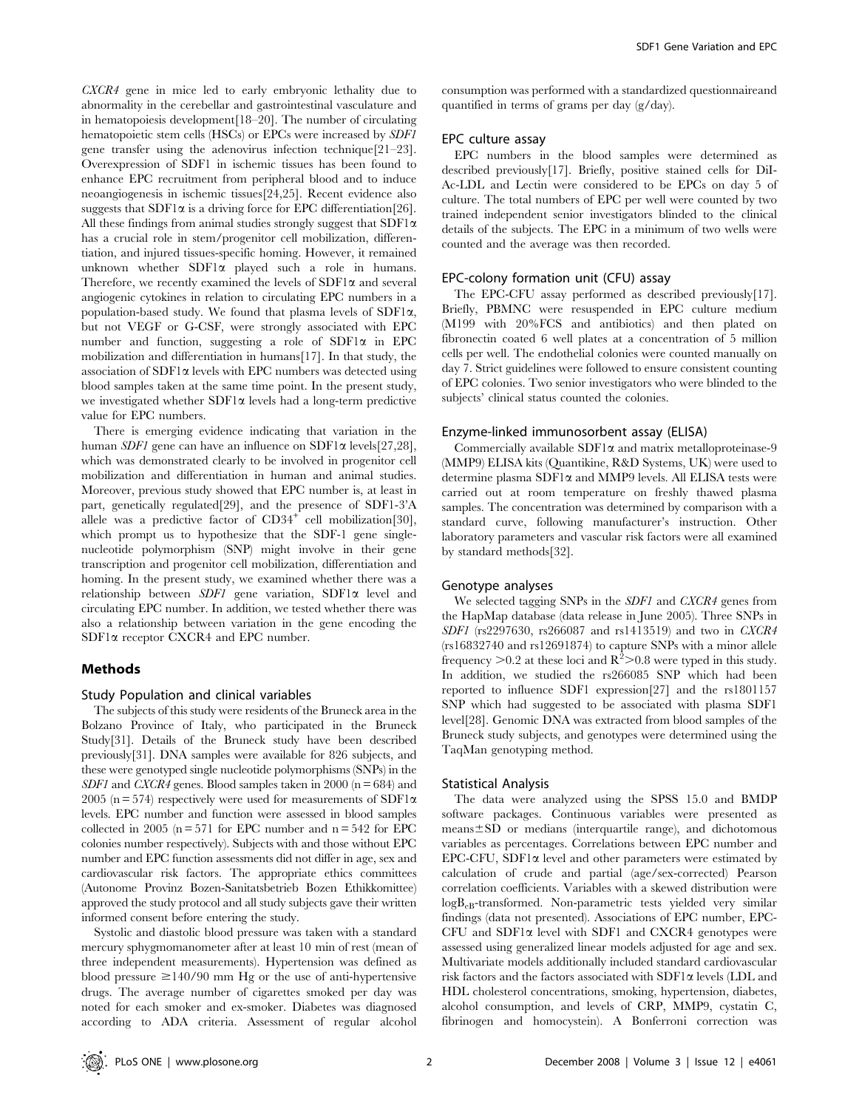CXCR4 gene in mice led to early embryonic lethality due to abnormality in the cerebellar and gastrointestinal vasculature and in hematopoiesis development[18–20]. The number of circulating hematopoietic stem cells (HSCs) or EPCs were increased by SDF1 gene transfer using the adenovirus infection technique[21–23]. Overexpression of SDF1 in ischemic tissues has been found to enhance EPC recruitment from peripheral blood and to induce neoangiogenesis in ischemic tissues[24,25]. Recent evidence also suggests that SDF1 $\alpha$  is a driving force for EPC differentiation [26]. All these findings from animal studies strongly suggest that SDF1 $\alpha$ has a crucial role in stem/progenitor cell mobilization, differentiation, and injured tissues-specific homing. However, it remained unknown whether  $SDF1\alpha$  played such a role in humans. Therefore, we recently examined the levels of  $SDF1\alpha$  and several angiogenic cytokines in relation to circulating EPC numbers in a population-based study. We found that plasma levels of SDF1 $\alpha$ , but not VEGF or G-CSF, were strongly associated with EPC number and function, suggesting a role of  $SDF1\alpha$  in EPC mobilization and differentiation in humans[17]. In that study, the association of  $SDF1\alpha$  levels with EPC numbers was detected using blood samples taken at the same time point. In the present study, we investigated whether  $SDF1\alpha$  levels had a long-term predictive value for EPC numbers.

There is emerging evidence indicating that variation in the human *SDF1* gene can have an influence on  $SDF1\alpha$  levels[27,28], which was demonstrated clearly to be involved in progenitor cell mobilization and differentiation in human and animal studies. Moreover, previous study showed that EPC number is, at least in part, genetically regulated[29], and the presence of SDF1-3'A allele was a predictive factor of  $CD34^+$  cell mobilization [30], which prompt us to hypothesize that the SDF-1 gene singlenucleotide polymorphism (SNP) might involve in their gene transcription and progenitor cell mobilization, differentiation and homing. In the present study, we examined whether there was a relationship between SDF1 gene variation, SDF1a level and circulating EPC number. In addition, we tested whether there was also a relationship between variation in the gene encoding the SDF1a receptor CXCR4 and EPC number.

# Methods

# Study Population and clinical variables

The subjects of this study were residents of the Bruneck area in the Bolzano Province of Italy, who participated in the Bruneck Study[31]. Details of the Bruneck study have been described previously[31]. DNA samples were available for 826 subjects, and these were genotyped single nucleotide polymorphisms (SNPs) in the SDF1 and CXCR4 genes. Blood samples taken in 2000 (n = 684) and 2005 (n = 574) respectively were used for measurements of SDF1 $\alpha$ levels. EPC number and function were assessed in blood samples collected in 2005 ( $n = 571$  for EPC number and  $n = 542$  for EPC colonies number respectively). Subjects with and those without EPC number and EPC function assessments did not differ in age, sex and cardiovascular risk factors. The appropriate ethics committees (Autonome Provinz Bozen-Sanitatsbetrieb Bozen Ethikkomittee) approved the study protocol and all study subjects gave their written informed consent before entering the study.

Systolic and diastolic blood pressure was taken with a standard mercury sphygmomanometer after at least 10 min of rest (mean of three independent measurements). Hypertension was defined as blood pressure  $\geq$ 140/90 mm Hg or the use of anti-hypertensive drugs. The average number of cigarettes smoked per day was noted for each smoker and ex-smoker. Diabetes was diagnosed according to ADA criteria. Assessment of regular alcohol

consumption was performed with a standardized questionnaireand quantified in terms of grams per day (g/day).

#### EPC culture assay

EPC numbers in the blood samples were determined as described previously[17]. Briefly, positive stained cells for DiI-Ac-LDL and Lectin were considered to be EPCs on day 5 of culture. The total numbers of EPC per well were counted by two trained independent senior investigators blinded to the clinical details of the subjects. The EPC in a minimum of two wells were counted and the average was then recorded.

#### EPC-colony formation unit (CFU) assay

The EPC-CFU assay performed as described previously[17]. Briefly, PBMNC were resuspended in EPC culture medium (M199 with 20%FCS and antibiotics) and then plated on fibronectin coated 6 well plates at a concentration of 5 million cells per well. The endothelial colonies were counted manually on day 7. Strict guidelines were followed to ensure consistent counting of EPC colonies. Two senior investigators who were blinded to the subjects' clinical status counted the colonies.

#### Enzyme-linked immunosorbent assay (ELISA)

Commercially available  $SDF1\alpha$  and matrix metalloproteinase-9 (MMP9) ELISA kits (Quantikine, R&D Systems, UK) were used to determine plasma SDF1a and MMP9 levels. All ELISA tests were carried out at room temperature on freshly thawed plasma samples. The concentration was determined by comparison with a standard curve, following manufacturer's instruction. Other laboratory parameters and vascular risk factors were all examined by standard methods[32].

#### Genotype analyses

We selected tagging SNPs in the SDF1 and CXCR4 genes from the HapMap database (data release in June 2005). Three SNPs in SDF1 (rs2297630, rs266087 and rs1413519) and two in CXCR4 (rs16832740 and rs12691874) to capture SNPs with a minor allele frequency  $>$  0.2 at these loci and  $\mathbb{R}^2$  > 0.8 were typed in this study. In addition, we studied the rs266085 SNP which had been reported to influence SDF1 expression[27] and the rs1801157 SNP which had suggested to be associated with plasma SDF1 level[28]. Genomic DNA was extracted from blood samples of the Bruneck study subjects, and genotypes were determined using the TaqMan genotyping method.

#### Statistical Analysis

The data were analyzed using the SPSS 15.0 and BMDP software packages. Continuous variables were presented as  $means \pm SD$  or medians (interquartile range), and dichotomous variables as percentages. Correlations between EPC number and EPC-CFU, SDF1 $\alpha$  level and other parameters were estimated by calculation of crude and partial (age/sex-corrected) Pearson correlation coefficients. Variables with a skewed distribution were logBeB-transformed. Non-parametric tests yielded very similar findings (data not presented). Associations of EPC number, EPC-CFU and SDF1a level with SDF1 and CXCR4 genotypes were assessed using generalized linear models adjusted for age and sex. Multivariate models additionally included standard cardiovascular risk factors and the factors associated with  $SDF1\alpha$  levels (LDL and HDL cholesterol concentrations, smoking, hypertension, diabetes, alcohol consumption, and levels of CRP, MMP9, cystatin C, fibrinogen and homocystein). A Bonferroni correction was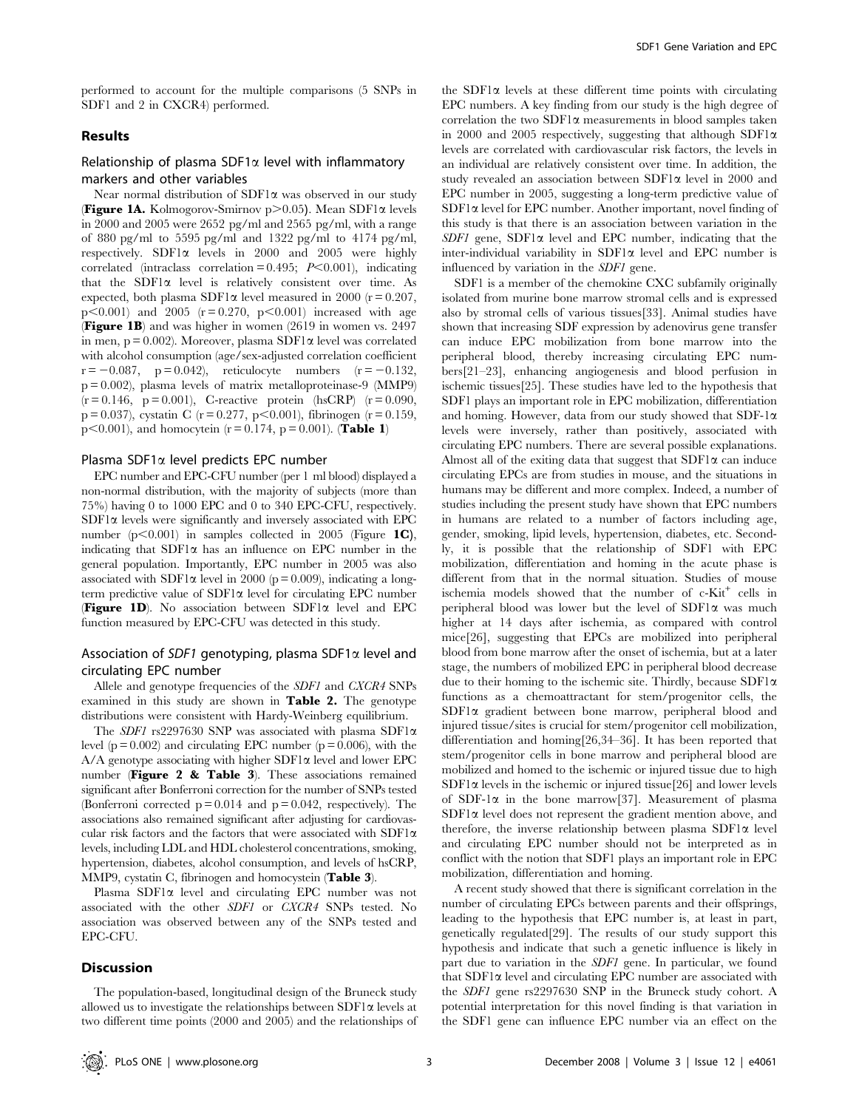performed to account for the multiple comparisons (5 SNPs in SDF1 and 2 in CXCR4) performed.

# Results

# Relationship of plasma SDF1 $\alpha$  level with inflammatory markers and other variables

Near normal distribution of  $SDF1\alpha$  was observed in our study **(Figure 1A.** Kolmogorov-Smirnov  $p > 0.05$ ). Mean SDF1 $\alpha$  levels in 2000 and 2005 were 2652 pg/ml and 2565 pg/ml, with a range of 880 pg/ml to 5595 pg/ml and 1322 pg/ml to 4174 pg/ml, respectively. SDF1 $\alpha$  levels in 2000 and 2005 were highly correlated (intraclass correlation =  $0.495$ ;  $P<0.001$ ), indicating that the SDF1 $\alpha$  level is relatively consistent over time. As expected, both plasma SDF1 $\alpha$  level measured in 2000 (r = 0.207,  $p<0.001$ ) and 2005 ( $r = 0.270$ ,  $p<0.001$ ) increased with age (Figure 1B) and was higher in women (2619 in women vs. 2497 in men,  $p = 0.002$ ). Moreover, plasma SDF1 $\alpha$  level was correlated with alcohol consumption (age/sex-adjusted correlation coefficient  $r = -0.087$ , p = 0.042), reticulocyte numbers (r = -0.132, p = 0.002), plasma levels of matrix metalloproteinase-9 (MMP9)  $(r = 0.146, p = 0.001)$ , C-reactive protein (hsCRP)  $(r = 0.090,$  $p = 0.037$ ), cystatin C (r = 0.277, p < 0.001), fibrinogen (r = 0.159,  $p<0.001$ ), and homocytein (r = 0.174, p = 0.001). (Table 1)

#### Plasma SDF1 $\alpha$  level predicts EPC number

EPC number and EPC-CFU number (per 1 ml blood) displayed a non-normal distribution, with the majority of subjects (more than 75%) having 0 to 1000 EPC and 0 to 340 EPC-CFU, respectively.  $SDF1\alpha$  levels were significantly and inversely associated with EPC number (p $\leq$ 0.001) in samples collected in 2005 (Figure 1C), indicating that  $SDF1\alpha$  has an influence on EPC number in the general population. Importantly, EPC number in 2005 was also associated with SDF1 $\alpha$  level in 2000 (p = 0.009), indicating a longterm predictive value of  $SDF1\alpha$  level for circulating EPC number **(Figure 1D).** No association between SDF1 $\alpha$  level and EPC function measured by EPC-CFU was detected in this study.

# Association of SDF1 genotyping, plasma SDF1 $\alpha$  level and circulating EPC number

Allele and genotype frequencies of the SDF1 and CXCR4 SNPs examined in this study are shown in Table 2. The genotype distributions were consistent with Hardy-Weinberg equilibrium.

The SDF1 rs2297630 SNP was associated with plasma SDF1 $\alpha$ level ( $p = 0.002$ ) and circulating EPC number ( $p = 0.006$ ), with the  $A/A$  genotype associating with higher SDF1 $\alpha$  level and lower EPC number (Figure 2 & Table 3). These associations remained significant after Bonferroni correction for the number of SNPs tested (Bonferroni corrected  $p = 0.014$  and  $p = 0.042$ , respectively). The associations also remained significant after adjusting for cardiovascular risk factors and the factors that were associated with SDF1 $\alpha$ levels, including LDL and HDL cholesterol concentrations, smoking, hypertension, diabetes, alcohol consumption, and levels of hsCRP, MMP9, cystatin C, fibrinogen and homocystein (Table 3).

Plasma  $SDF1\alpha$  level and circulating EPC number was not associated with the other SDF1 or CXCR4 SNPs tested. No association was observed between any of the SNPs tested and EPC-CFU.

#### Discussion

The population-based, longitudinal design of the Bruneck study allowed us to investigate the relationships between  $SDF1\alpha$  levels at two different time points (2000 and 2005) and the relationships of the SDF1 $\alpha$  levels at these different time points with circulating EPC numbers. A key finding from our study is the high degree of correlation the two SDF1 $\alpha$  measurements in blood samples taken in 2000 and 2005 respectively, suggesting that although SDF1 $\alpha$ levels are correlated with cardiovascular risk factors, the levels in an individual are relatively consistent over time. In addition, the study revealed an association between SDF1 $\alpha$  level in 2000 and EPC number in 2005, suggesting a long-term predictive value of  $SDF1\alpha$  level for EPC number. Another important, novel finding of this study is that there is an association between variation in the  $SDF1$  gene,  $SDF1\alpha$  level and EPC number, indicating that the inter-individual variability in SDF1 $\alpha$  level and EPC number is influenced by variation in the SDF1 gene.

SDF1 is a member of the chemokine CXC subfamily originally isolated from murine bone marrow stromal cells and is expressed also by stromal cells of various tissues[33]. Animal studies have shown that increasing SDF expression by adenovirus gene transfer can induce EPC mobilization from bone marrow into the peripheral blood, thereby increasing circulating EPC numbers[21–23], enhancing angiogenesis and blood perfusion in ischemic tissues[25]. These studies have led to the hypothesis that SDF1 plays an important role in EPC mobilization, differentiation and homing. However, data from our study showed that SDF-1 $\alpha$ levels were inversely, rather than positively, associated with circulating EPC numbers. There are several possible explanations. Almost all of the exiting data that suggest that  $SDF1\alpha$  can induce circulating EPCs are from studies in mouse, and the situations in humans may be different and more complex. Indeed, a number of studies including the present study have shown that EPC numbers in humans are related to a number of factors including age, gender, smoking, lipid levels, hypertension, diabetes, etc. Secondly, it is possible that the relationship of SDF1 with EPC mobilization, differentiation and homing in the acute phase is different from that in the normal situation. Studies of mouse ischemia models showed that the number of c-Kit<sup>+</sup> cells in peripheral blood was lower but the level of  $SDF1\alpha$  was much higher at 14 days after ischemia, as compared with control mice[26], suggesting that EPCs are mobilized into peripheral blood from bone marrow after the onset of ischemia, but at a later stage, the numbers of mobilized EPC in peripheral blood decrease due to their homing to the ischemic site. Thirdly, because SDF1 $\alpha$ functions as a chemoattractant for stem/progenitor cells, the SDF1a gradient between bone marrow, peripheral blood and injured tissue/sites is crucial for stem/progenitor cell mobilization, differentiation and homing[26,34–36]. It has been reported that stem/progenitor cells in bone marrow and peripheral blood are mobilized and homed to the ischemic or injured tissue due to high  $SDF1\alpha$  levels in the ischemic or injured tissue[26] and lower levels of SDF-1 $\alpha$  in the bone marrow<sup>[37]</sup>. Measurement of plasma  $SDF1\alpha$  level does not represent the gradient mention above, and therefore, the inverse relationship between plasma SDF1 $\alpha$  level and circulating EPC number should not be interpreted as in conflict with the notion that SDF1 plays an important role in EPC mobilization, differentiation and homing.

A recent study showed that there is significant correlation in the number of circulating EPCs between parents and their offsprings, leading to the hypothesis that EPC number is, at least in part, genetically regulated[29]. The results of our study support this hypothesis and indicate that such a genetic influence is likely in part due to variation in the SDF1 gene. In particular, we found that  $SDF1\alpha$  level and circulating EPC number are associated with the SDF1 gene rs2297630 SNP in the Bruneck study cohort. A potential interpretation for this novel finding is that variation in the SDF1 gene can influence EPC number via an effect on the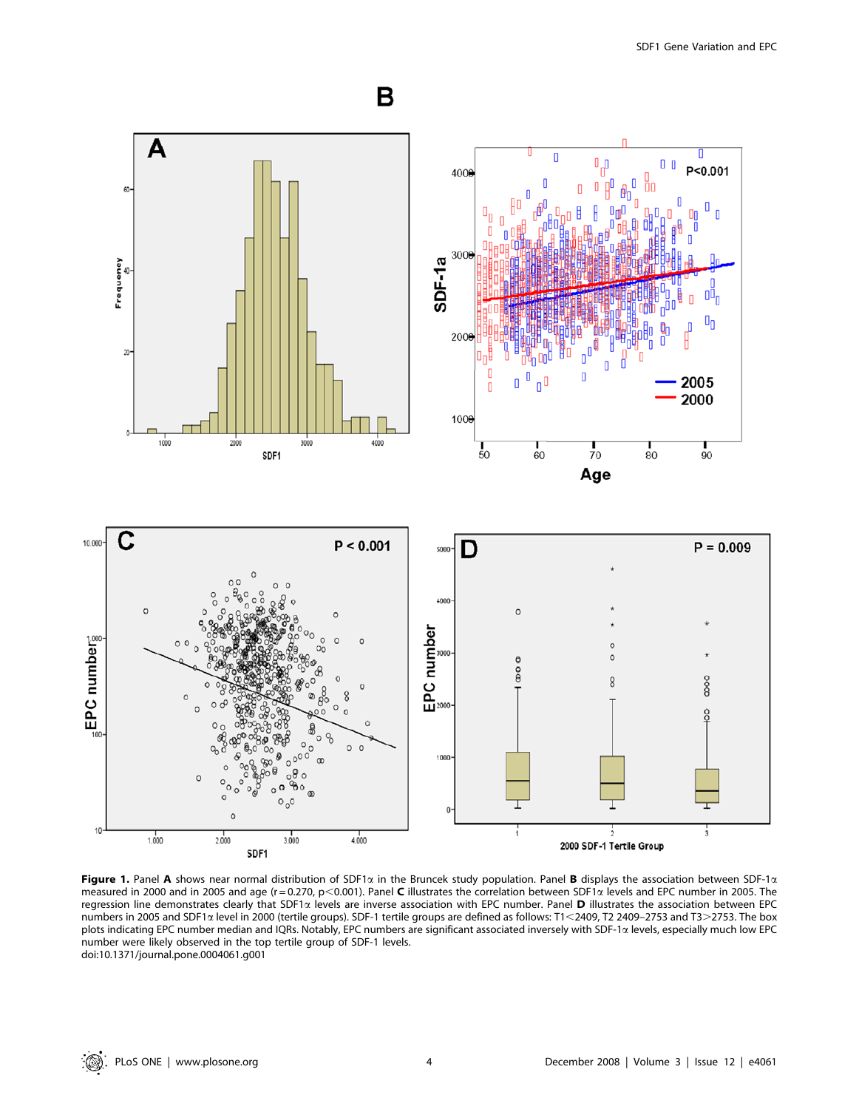

Figure 1. Panel A shows near normal distribution of SDF1 $\alpha$  in the Bruncek study population. Panel B displays the association between SDF-1 $\alpha$ measured in 2000 and in 2005 and age (r = 0.270, p<0.001). Panel C illustrates the correlation between SDF1 $\alpha$  levels and EPC number in 2005. The regression line demonstrates clearly that SDF1 $\alpha$  levels are inverse association with EPC number. Panel **D** illustrates the association between EPC numbers in 2005 and SDF1 $\alpha$  level in 2000 (tertile groups). SDF-1 tertile groups are defined as follows: T1<2409, T2 2409–2753 and T3>2753. The box plots indicating EPC number median and IQRs. Notably, EPC numbers are significant associated inversely with SDF-1a levels, especially much low EPC number were likely observed in the top tertile group of SDF-1 levels. doi:10.1371/journal.pone.0004061.g001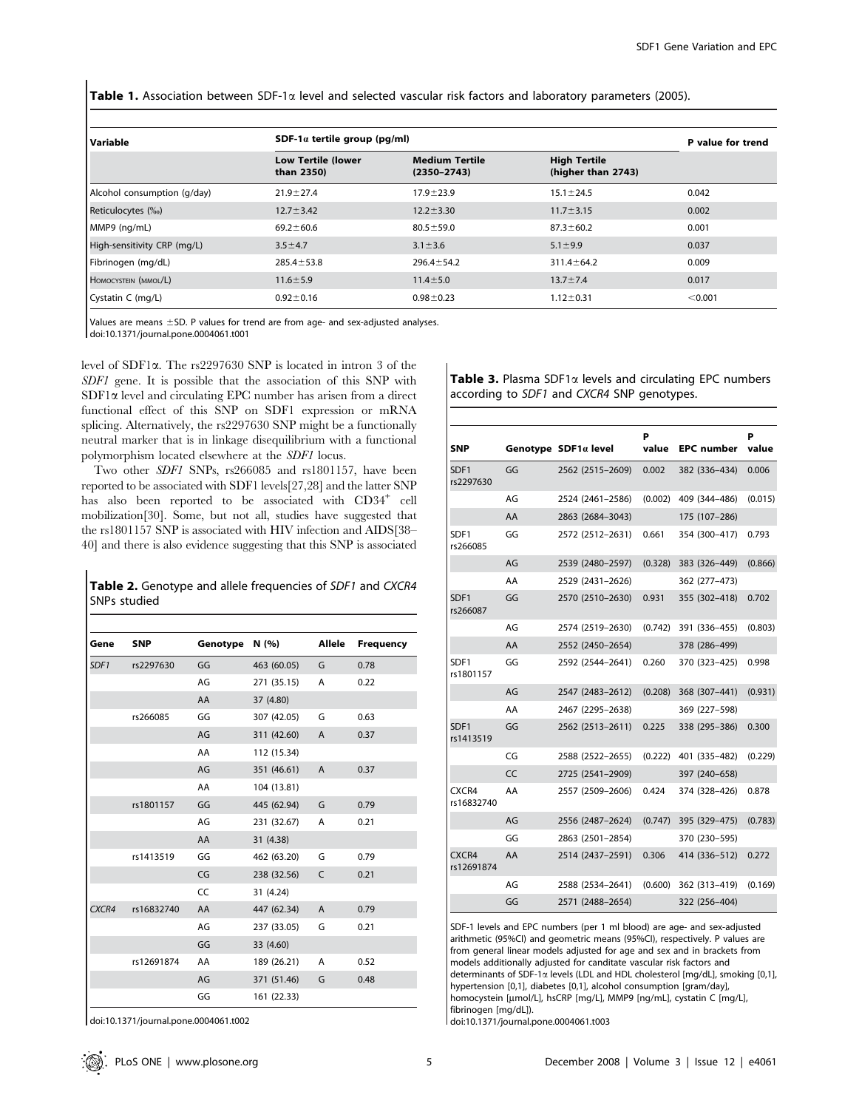Table 1. Association between SDF-1 $\alpha$  level and selected vascular risk factors and laboratory parameters (2005).

| Variable                    | SDF-1 $\alpha$ tertile group (pg/ml)    | P value for trend                        |                                           |         |
|-----------------------------|-----------------------------------------|------------------------------------------|-------------------------------------------|---------|
|                             | <b>Low Tertile (lower</b><br>than 2350) | <b>Medium Tertile</b><br>$(2350 - 2743)$ | <b>High Tertile</b><br>(higher than 2743) |         |
| Alcohol consumption (g/day) | $21.9 \pm 27.4$                         | $17.9 + 23.9$                            | $15.1 \pm 24.5$                           | 0.042   |
| Reticulocytes (‰)           | $12.7 \pm 3.42$                         | $12.2 \pm 3.30$                          | $11.7 \pm 3.15$                           | 0.002   |
| MMP9 (ng/mL)                | $69.2 \pm 60.6$                         | $80.5 \pm 59.0$                          | $87.3 \pm 60.2$                           | 0.001   |
| High-sensitivity CRP (mg/L) | $3.5 \pm 4.7$                           | $3.1 \pm 3.6$                            | $5.1 \pm 9.9$                             | 0.037   |
| Fibrinogen (mg/dL)          | $285.4 \pm 53.8$                        | $296.4 \pm 54.2$                         | $311.4 \pm 64.2$                          | 0.009   |
| HOMOCYSTEIN (MMOL/L)        | $11.6 \pm 5.9$                          | $11.4 \pm 5.0$                           | $13.7 \pm 7.4$                            | 0.017   |
| Cystatin C (mg/L)           | $0.92 \pm 0.16$                         | $0.98 + 0.23$                            | $1.12 \pm 0.31$                           | < 0.001 |

Values are means  $\pm$ SD. P values for trend are from age- and sex-adjusted analyses. doi:10.1371/journal.pone.0004061.t001

level of SDF1a. The rs2297630 SNP is located in intron 3 of the SDF1 gene. It is possible that the association of this SNP with  $SDF1\alpha$  level and circulating EPC number has arisen from a direct functional effect of this SNP on SDF1 expression or mRNA splicing. Alternatively, the rs2297630 SNP might be a functionally neutral marker that is in linkage disequilibrium with a functional polymorphism located elsewhere at the SDF1 locus.

Two other SDF1 SNPs, rs266085 and rs1801157, have been reported to be associated with SDF1 levels[27,28] and the latter SNP has also been reported to be associated with CD34<sup>+</sup> cell mobilization[30]. Some, but not all, studies have suggested that the rs1801157 SNP is associated with HIV infection and AIDS[38– 40] and there is also evidence suggesting that this SNP is associated

Table 2. Genotype and allele frequencies of SDF1 and CXCR4 SNPs studied

| Gene             | <b>SNP</b> | Genotype | N (%)       | Allele       | <b>Frequency</b> |  |
|------------------|------------|----------|-------------|--------------|------------------|--|
| SDF <sub>1</sub> | rs2297630  | GG       | 463 (60.05) | G            | 0.78             |  |
|                  |            | AG       | 271 (35.15) | A            | 0.22             |  |
|                  |            | AA       | 37 (4.80)   |              |                  |  |
|                  | rs266085   | GG       | 307 (42.05) | G            | 0.63             |  |
|                  |            | AG       | 311 (42.60) | A            | 0.37             |  |
|                  |            | AA       | 112 (15.34) |              |                  |  |
|                  |            | AG       | 351 (46.61) | A            | 0.37             |  |
|                  |            | AA       | 104 (13.81) |              |                  |  |
|                  | rs1801157  | GG       | 445 (62.94) | G            | 0.79             |  |
|                  |            | AG       | 231 (32.67) | A            | 0.21             |  |
|                  |            | AA       | 31 (4.38)   |              |                  |  |
|                  | rs1413519  | GG       | 462 (63.20) | G            | 0.79             |  |
|                  |            | CG       | 238 (32.56) | $\mathsf{C}$ | 0.21             |  |
|                  |            | CC       | 31 (4.24)   |              |                  |  |
| CXCR4            | rs16832740 | AA       | 447 (62.34) | A            | 0.79             |  |
|                  |            | AG       | 237 (33.05) | G            | 0.21             |  |
|                  |            | GG       | 33 (4.60)   |              |                  |  |
|                  | rs12691874 | AA       | 189 (26.21) | A            | 0.52             |  |
|                  |            | AG       | 371 (51.46) | G            | 0.48             |  |
|                  |            | GG       | 161 (22.33) |              |                  |  |
|                  |            |          |             |              |                  |  |

doi:10.1371/journal.pone.0004061.t002

Table 3. Plasma SDF1 $\alpha$  levels and circulating EPC numbers according to SDF1 and CXCR4 SNP genotypes.

| SNP                           |    | Genotype SDF1a level | P<br>value | <b>EPC</b> number | Þ<br>value |
|-------------------------------|----|----------------------|------------|-------------------|------------|
| SDF1<br>rs2297630             | GG | 2562 (2515-2609)     | 0.002      | 382 (336–434)     | 0.006      |
|                               | AG | 2524 (2461-2586)     | (0.002)    | 409 (344-486)     | (0.015)    |
|                               | AA | 2863 (2684-3043)     |            | 175 (107-286)     |            |
| SDF1<br>rs266085              | GG | 2572 (2512-2631)     | 0.661      | 354 (300-417)     | 0.793      |
|                               | AG | 2539 (2480-2597)     | (0.328)    | 383 (326-449)     | (0.866)    |
|                               | AA | 2529 (2431-2626)     |            | 362 (277–473)     |            |
| SDF1<br>rs266087              | GG | 2570 (2510-2630)     | 0.931      | 355 (302-418)     | 0.702      |
|                               | AG | 2574 (2519-2630)     | (0.742)    | 391 (336–455)     | (0.803)    |
|                               | AA | 2552 (2450-2654)     |            | 378 (286–499)     |            |
| SDF1<br>rs1801157             | GG | 2592 (2544-2641)     | 0.260      | 370 (323–425)     | 0.998      |
|                               | AG | 2547 (2483-2612)     | (0.208)    | 368 (307-441)     | (0.931)    |
|                               | AA | 2467 (2295-2638)     |            | 369 (227–598)     |            |
| SDF <sub>1</sub><br>rs1413519 | GG | 2562 (2513-2611)     | 0.225      | 338 (295-386)     | 0.300      |
|                               | CG | 2588 (2522-2655)     | (0.222)    | 401 (335-482)     | (0.229)    |
|                               | CC | 2725 (2541-2909)     |            | 397 (240–658)     |            |
| CXCR4<br>rs16832740           | AA | 2557 (2509-2606)     | 0.424      | 374 (328-426)     | 0.878      |
|                               | AG | 2556 (2487-2624)     | (0.747)    | 395 (329-475)     | (0.783)    |
|                               | GG | 2863 (2501-2854)     |            | 370 (230–595)     |            |
| CXCR4<br>rs12691874           | AA | 2514 (2437-2591)     | 0.306      | 414 (336-512)     | 0.272      |
|                               | AG | 2588 (2534-2641)     | (0.600)    | 362 (313-419)     | (0.169)    |
|                               | GG | 2571 (2488-2654)     |            | 322 (256-404)     |            |

SDF-1 levels and EPC numbers (per 1 ml blood) are age- and sex-adjusted arithmetic (95%CI) and geometric means (95%CI), respectively. P values are from general linear models adjusted for age and sex and in brackets from models additionally adjusted for canditate vascular risk factors and determinants of SDF-1a levels (LDL and HDL cholesterol [mg/dL], smoking [0,1], hypertension [0,1], diabetes [0,1], alcohol consumption [gram/day], homocystein [µmol/L], hsCRP [mg/L], MMP9 [ng/mL], cystatin C [mg/L], fibrinogen [mg/dL]).

doi:10.1371/journal.pone.0004061.t003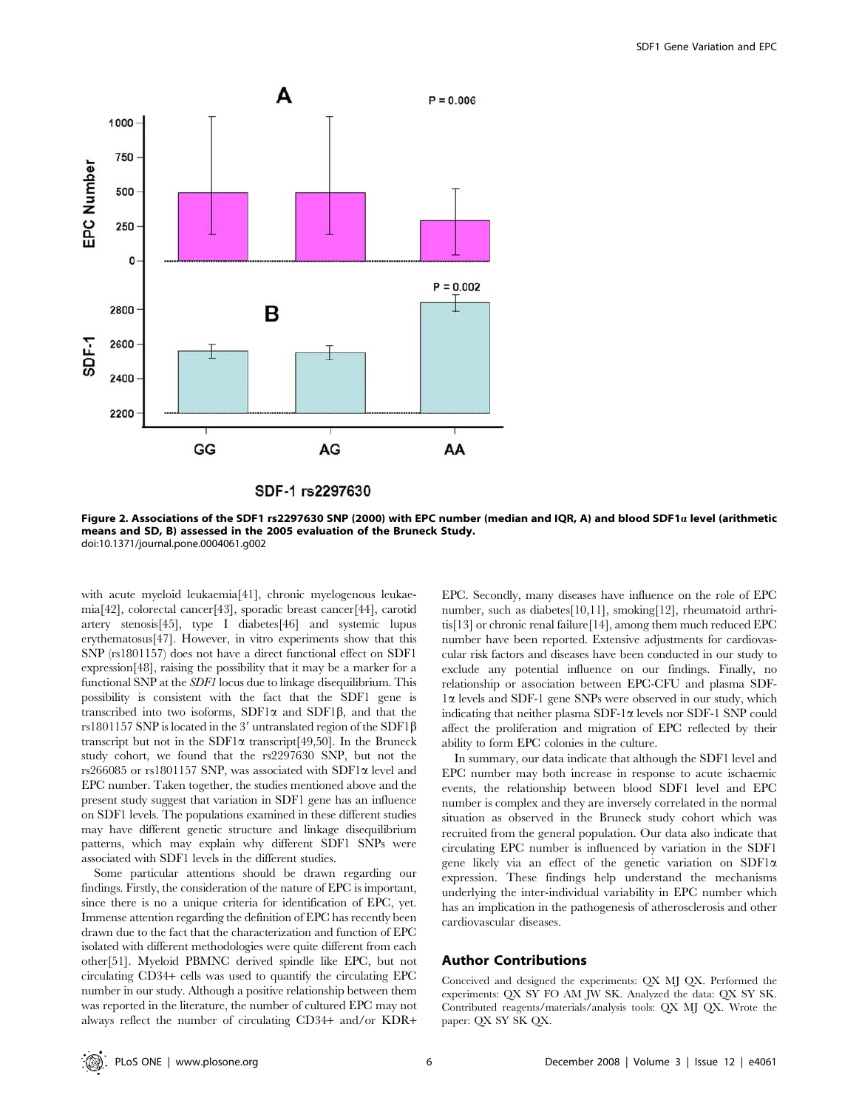

SDF-1 rs2297630

Figure 2. Associations of the SDF1 rs2297630 SNP (2000) with EPC number (median and IQR, A) and blood SDF1a level (arithmetic means and SD, B) assessed in the 2005 evaluation of the Bruneck Study. doi:10.1371/journal.pone.0004061.g002

with acute myeloid leukaemia[41], chronic myelogenous leukaemia[42], colorectal cancer[43], sporadic breast cancer[44], carotid artery stenosis[45], type I diabetes[46] and systemic lupus erythematosus[47]. However, in vitro experiments show that this SNP (rs1801157) does not have a direct functional effect on SDF1 expression[48], raising the possibility that it may be a marker for a functional SNP at the SDF1 locus due to linkage disequilibrium. This possibility is consistent with the fact that the SDF1 gene is transcribed into two isoforms,  $SDF1\alpha$  and  $SDF1\beta$ , and that the rs1801157 SNP is located in the 3' untranslated region of the SDF1 $\beta$ transcript but not in the SDF1 $\alpha$  transcript[49,50]. In the Bruneck study cohort, we found that the rs2297630 SNP, but not the rs266085 or rs1801157 SNP, was associated with SDF1 $\alpha$  level and EPC number. Taken together, the studies mentioned above and the present study suggest that variation in SDF1 gene has an influence on SDF1 levels. The populations examined in these different studies may have different genetic structure and linkage disequilibrium patterns, which may explain why different SDF1 SNPs were associated with SDF1 levels in the different studies.

Some particular attentions should be drawn regarding our findings. Firstly, the consideration of the nature of EPC is important, since there is no a unique criteria for identification of EPC, yet. Immense attention regarding the definition of EPC has recently been drawn due to the fact that the characterization and function of EPC isolated with different methodologies were quite different from each other[51]. Myeloid PBMNC derived spindle like EPC, but not circulating CD34+ cells was used to quantify the circulating EPC number in our study. Although a positive relationship between them was reported in the literature, the number of cultured EPC may not always reflect the number of circulating CD34+ and/or KDR+

EPC. Secondly, many diseases have influence on the role of EPC number, such as diabetes[10,11], smoking[12], rheumatoid arthritis[13] or chronic renal failure[14], among them much reduced EPC number have been reported. Extensive adjustments for cardiovascular risk factors and diseases have been conducted in our study to exclude any potential influence on our findings. Finally, no relationship or association between EPC-CFU and plasma SDF-1a levels and SDF-1 gene SNPs were observed in our study, which indicating that neither plasma SDF-1 $\alpha$  levels nor SDF-1 SNP could affect the proliferation and migration of EPC reflected by their ability to form EPC colonies in the culture.

In summary, our data indicate that although the SDF1 level and EPC number may both increase in response to acute ischaemic events, the relationship between blood SDF1 level and EPC number is complex and they are inversely correlated in the normal situation as observed in the Bruneck study cohort which was recruited from the general population. Our data also indicate that circulating EPC number is influenced by variation in the SDF1 gene likely via an effect of the genetic variation on SDF1a expression. These findings help understand the mechanisms underlying the inter-individual variability in EPC number which has an implication in the pathogenesis of atherosclerosis and other cardiovascular diseases.

#### Author Contributions

Conceived and designed the experiments: QX MJ QX. Performed the experiments: QX SY FO AM JW SK. Analyzed the data: QX SY SK. Contributed reagents/materials/analysis tools: QX MJ QX. Wrote the paper: QX SY SK QX.